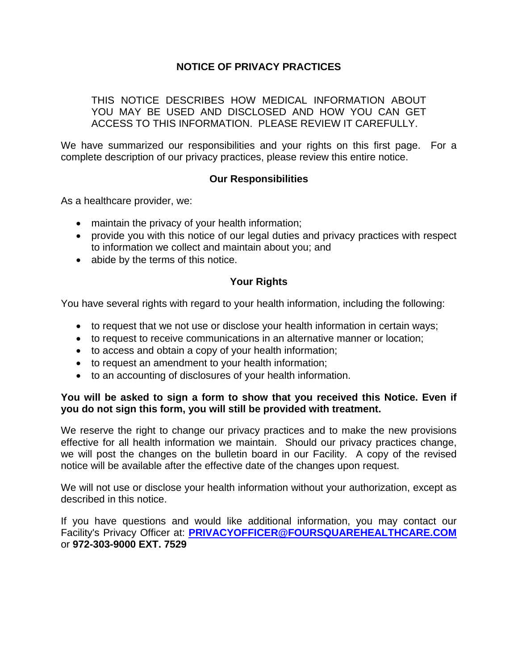## **NOTICE OF PRIVACY PRACTICES**

THIS NOTICE DESCRIBES HOW MEDICAL INFORMATION ABOUT YOU MAY BE USED AND DISCLOSED AND HOW YOU CAN GET ACCESS TO THIS INFORMATION. PLEASE REVIEW IT CAREFULLY.

We have summarized our responsibilities and your rights on this first page. For a complete description of our privacy practices, please review this entire notice.

### **Our Responsibilities**

As a healthcare provider, we:

- maintain the privacy of your health information;
- provide you with this notice of our legal duties and privacy practices with respect to information we collect and maintain about you; and
- abide by the terms of this notice.

### **Your Rights**

You have several rights with regard to your health information, including the following:

- to request that we not use or disclose your health information in certain ways;
- to request to receive communications in an alternative manner or location;
- to access and obtain a copy of your health information;
- to request an amendment to your health information;
- to an accounting of disclosures of your health information.

### **You will be asked to sign a form to show that you received this Notice. Even if you do not sign this form, you will still be provided with treatment.**

We reserve the right to change our privacy practices and to make the new provisions effective for all health information we maintain. Should our privacy practices change, we will post the changes on the bulletin board in our Facility. A copy of the revised notice will be available after the effective date of the changes upon request.

We will not use or disclose your health information without your authorization, except as described in this notice.

If you have questions and would like additional information, you may contact our Facility's Privacy Officer at: **[PRIVACYOFFICER@FOURSQUAREHEALTHCARE.COM](mailto:PRIVACYOFFICER@FOURSQUAREHEALTHCARE.COM)** or **972-303-9000 EXT. 7529**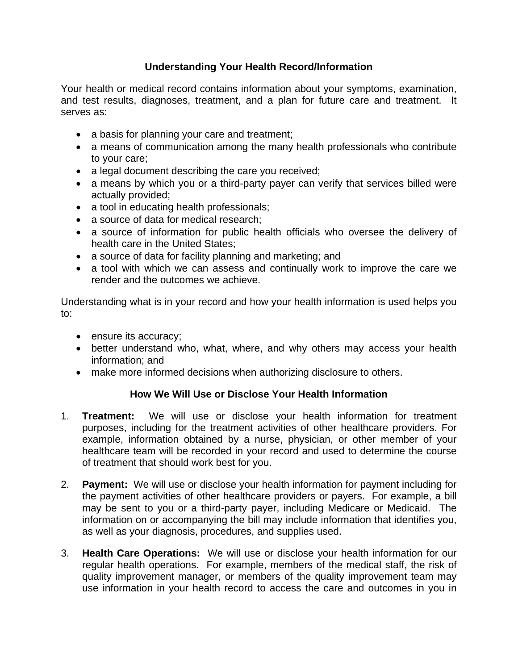# **Understanding Your Health Record/Information**

Your health or medical record contains information about your symptoms, examination, and test results, diagnoses, treatment, and a plan for future care and treatment. It serves as:

- a basis for planning your care and treatment;
- a means of communication among the many health professionals who contribute to your care;
- a legal document describing the care you received;
- a means by which you or a third-party payer can verify that services billed were actually provided;
- a tool in educating health professionals;
- a source of data for medical research;
- a source of information for public health officials who oversee the delivery of health care in the United States;
- a source of data for facility planning and marketing; and
- a tool with which we can assess and continually work to improve the care we render and the outcomes we achieve.

Understanding what is in your record and how your health information is used helps you to:

- ensure its accuracy;
- better understand who, what, where, and why others may access your health information; and
- make more informed decisions when authorizing disclosure to others.

# **How We Will Use or Disclose Your Health Information**

- 1. **Treatment:** We will use or disclose your health information for treatment purposes, including for the treatment activities of other healthcare providers. For example, information obtained by a nurse, physician, or other member of your healthcare team will be recorded in your record and used to determine the course of treatment that should work best for you.
- 2. **Payment:** We will use or disclose your health information for payment including for the payment activities of other healthcare providers or payers. For example, a bill may be sent to you or a third-party payer, including Medicare or Medicaid. The information on or accompanying the bill may include information that identifies you, as well as your diagnosis, procedures, and supplies used.
- 3. **Health Care Operations:** We will use or disclose your health information for our regular health operations. For example, members of the medical staff, the risk of quality improvement manager, or members of the quality improvement team may use information in your health record to access the care and outcomes in you in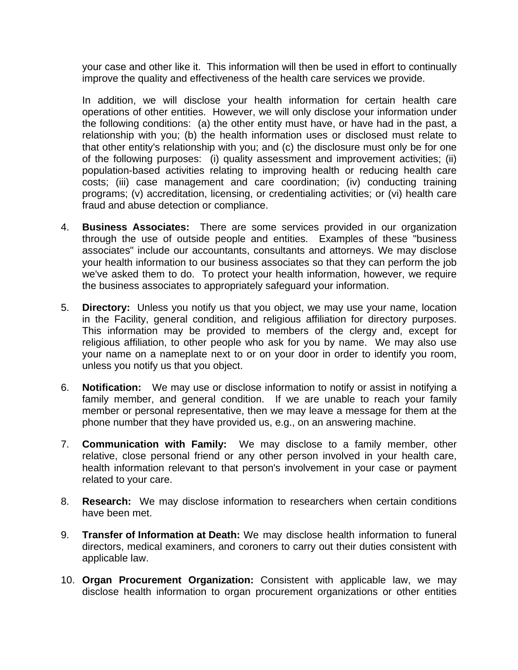your case and other like it. This information will then be used in effort to continually improve the quality and effectiveness of the health care services we provide.

In addition, we will disclose your health information for certain health care operations of other entities. However, we will only disclose your information under the following conditions: (a) the other entity must have, or have had in the past, a relationship with you; (b) the health information uses or disclosed must relate to that other entity's relationship with you; and (c) the disclosure must only be for one of the following purposes: (i) quality assessment and improvement activities; (ii) population-based activities relating to improving health or reducing health care costs; (iii) case management and care coordination; (iv) conducting training programs; (v) accreditation, licensing, or credentialing activities; or (vi) health care fraud and abuse detection or compliance.

- 4. **Business Associates:** There are some services provided in our organization through the use of outside people and entities. Examples of these "business associates" include our accountants, consultants and attorneys. We may disclose your health information to our business associates so that they can perform the job we've asked them to do. To protect your health information, however, we require the business associates to appropriately safeguard your information.
- 5. **Directory:** Unless you notify us that you object, we may use your name, location in the Facility, general condition, and religious affiliation for directory purposes. This information may be provided to members of the clergy and, except for religious affiliation, to other people who ask for you by name. We may also use your name on a nameplate next to or on your door in order to identify you room, unless you notify us that you object.
- 6. **Notification:** We may use or disclose information to notify or assist in notifying a family member, and general condition. If we are unable to reach your family member or personal representative, then we may leave a message for them at the phone number that they have provided us, e.g., on an answering machine.
- 7. **Communication with Family:** We may disclose to a family member, other relative, close personal friend or any other person involved in your health care, health information relevant to that person's involvement in your case or payment related to your care.
- 8. **Research:** We may disclose information to researchers when certain conditions have been met.
- 9. **Transfer of Information at Death:** We may disclose health information to funeral directors, medical examiners, and coroners to carry out their duties consistent with applicable law.
- 10. **Organ Procurement Organization:** Consistent with applicable law, we may disclose health information to organ procurement organizations or other entities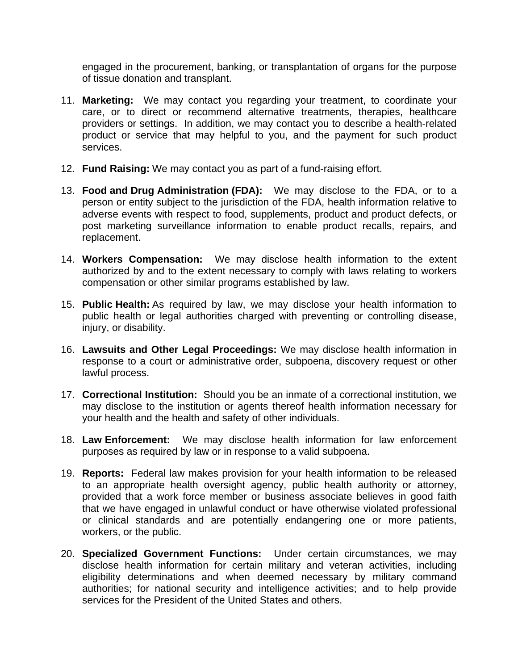engaged in the procurement, banking, or transplantation of organs for the purpose of tissue donation and transplant.

- 11. **Marketing:** We may contact you regarding your treatment, to coordinate your care, or to direct or recommend alternative treatments, therapies, healthcare providers or settings. In addition, we may contact you to describe a health-related product or service that may helpful to you, and the payment for such product services.
- 12. **Fund Raising:** We may contact you as part of a fund-raising effort.
- 13. **Food and Drug Administration (FDA):** We may disclose to the FDA, or to a person or entity subject to the jurisdiction of the FDA, health information relative to adverse events with respect to food, supplements, product and product defects, or post marketing surveillance information to enable product recalls, repairs, and replacement.
- 14. **Workers Compensation:** We may disclose health information to the extent authorized by and to the extent necessary to comply with laws relating to workers compensation or other similar programs established by law.
- 15. **Public Health:** As required by law, we may disclose your health information to public health or legal authorities charged with preventing or controlling disease, injury, or disability.
- 16. **Lawsuits and Other Legal Proceedings:** We may disclose health information in response to a court or administrative order, subpoena, discovery request or other lawful process.
- 17. **Correctional Institution:** Should you be an inmate of a correctional institution, we may disclose to the institution or agents thereof health information necessary for your health and the health and safety of other individuals.
- 18. **Law Enforcement:** We may disclose health information for law enforcement purposes as required by law or in response to a valid subpoena.
- 19. **Reports:** Federal law makes provision for your health information to be released to an appropriate health oversight agency, public health authority or attorney, provided that a work force member or business associate believes in good faith that we have engaged in unlawful conduct or have otherwise violated professional or clinical standards and are potentially endangering one or more patients, workers, or the public.
- 20. **Specialized Government Functions:** Under certain circumstances, we may disclose health information for certain military and veteran activities, including eligibility determinations and when deemed necessary by military command authorities; for national security and intelligence activities; and to help provide services for the President of the United States and others.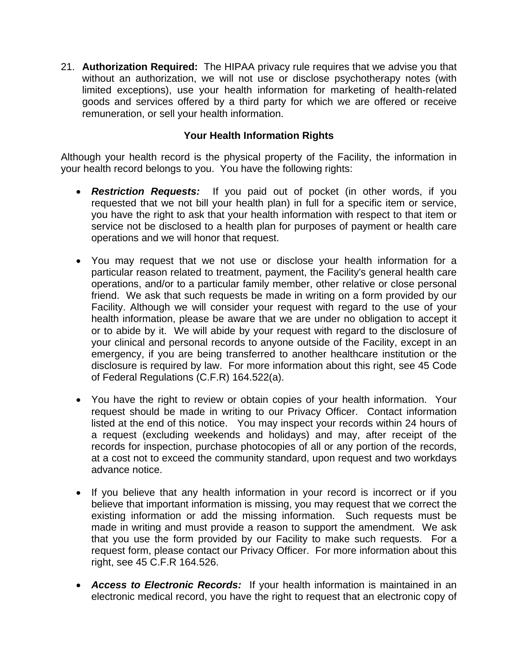21. **Authorization Required:** The HIPAA privacy rule requires that we advise you that without an authorization, we will not use or disclose psychotherapy notes (with limited exceptions), use your health information for marketing of health-related goods and services offered by a third party for which we are offered or receive remuneration, or sell your health information.

## **Your Health Information Rights**

Although your health record is the physical property of the Facility, the information in your health record belongs to you. You have the following rights:

- *Restriction Requests:* If you paid out of pocket (in other words, if you requested that we not bill your health plan) in full for a specific item or service, you have the right to ask that your health information with respect to that item or service not be disclosed to a health plan for purposes of payment or health care operations and we will honor that request.
- You may request that we not use or disclose your health information for a particular reason related to treatment, payment, the Facility's general health care operations, and/or to a particular family member, other relative or close personal friend. We ask that such requests be made in writing on a form provided by our Facility. Although we will consider your request with regard to the use of your health information, please be aware that we are under no obligation to accept it or to abide by it. We will abide by your request with regard to the disclosure of your clinical and personal records to anyone outside of the Facility, except in an emergency, if you are being transferred to another healthcare institution or the disclosure is required by law. For more information about this right, see 45 Code of Federal Regulations (C.F.R) 164.522(a).
- You have the right to review or obtain copies of your health information. Your request should be made in writing to our Privacy Officer. Contact information listed at the end of this notice. You may inspect your records within 24 hours of a request (excluding weekends and holidays) and may, after receipt of the records for inspection, purchase photocopies of all or any portion of the records, at a cost not to exceed the community standard, upon request and two workdays advance notice.
- If you believe that any health information in your record is incorrect or if you believe that important information is missing, you may request that we correct the existing information or add the missing information. Such requests must be made in writing and must provide a reason to support the amendment. We ask that you use the form provided by our Facility to make such requests. For a request form, please contact our Privacy Officer. For more information about this right, see 45 C.F.R 164.526.
- *Access to Electronic Records:* If your health information is maintained in an electronic medical record, you have the right to request that an electronic copy of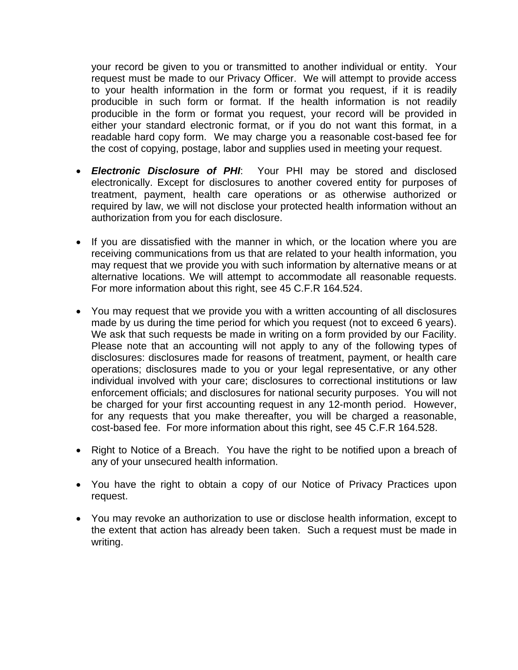your record be given to you or transmitted to another individual or entity. Your request must be made to our Privacy Officer. We will attempt to provide access to your health information in the form or format you request, if it is readily producible in such form or format. If the health information is not readily producible in the form or format you request, your record will be provided in either your standard electronic format, or if you do not want this format, in a readable hard copy form. We may charge you a reasonable cost-based fee for the cost of copying, postage, labor and supplies used in meeting your request.

- *Electronic Disclosure of PHI*: Your PHI may be stored and disclosed electronically. Except for disclosures to another covered entity for purposes of treatment, payment, health care operations or as otherwise authorized or required by law, we will not disclose your protected health information without an authorization from you for each disclosure.
- If you are dissatisfied with the manner in which, or the location where you are receiving communications from us that are related to your health information, you may request that we provide you with such information by alternative means or at alternative locations. We will attempt to accommodate all reasonable requests. For more information about this right, see 45 C.F.R 164.524.
- You may request that we provide you with a written accounting of all disclosures made by us during the time period for which you request (not to exceed 6 years). We ask that such requests be made in writing on a form provided by our Facility. Please note that an accounting will not apply to any of the following types of disclosures: disclosures made for reasons of treatment, payment, or health care operations; disclosures made to you or your legal representative, or any other individual involved with your care; disclosures to correctional institutions or law enforcement officials; and disclosures for national security purposes. You will not be charged for your first accounting request in any 12-month period. However, for any requests that you make thereafter, you will be charged a reasonable, cost-based fee. For more information about this right, see 45 C.F.R 164.528.
- Right to Notice of a Breach. You have the right to be notified upon a breach of any of your unsecured health information.
- You have the right to obtain a copy of our Notice of Privacy Practices upon request.
- You may revoke an authorization to use or disclose health information, except to the extent that action has already been taken. Such a request must be made in writing.